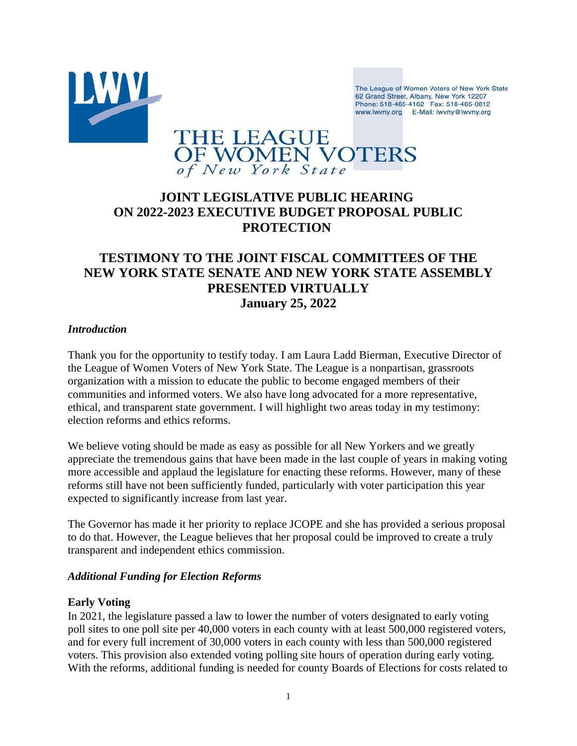

The League of Women Voters of New York State 62 Grand Street, Albany, New York 12207 Phone: 518-465-4162 Fax: 518-465-0812 www.lwvny.org E-Mail: lwvny@lwvny.org

# THE LEAGUE<br>OF WOMEN VOTERS of New York State

## **JOINT LEGISLATIVE PUBLIC HEARING ON 2022-2023 EXECUTIVE BUDGET PROPOSAL PUBLIC PROTECTION**

### **TESTIMONY TO THE JOINT FISCAL COMMITTEES OF THE NEW YORK STATE SENATE AND NEW YORK STATE ASSEMBLY PRESENTED VIRTUALLY January 25, 2022**

#### *Introduction*

Thank you for the opportunity to testify today. I am Laura Ladd Bierman, Executive Director of the League of Women Voters of New York State. The League is a nonpartisan, grassroots organization with a mission to educate the public to become engaged members of their communities and informed voters. We also have long advocated for a more representative, ethical, and transparent state government. I will highlight two areas today in my testimony: election reforms and ethics reforms.

We believe voting should be made as easy as possible for all New Yorkers and we greatly appreciate the tremendous gains that have been made in the last couple of years in making voting more accessible and applaud the legislature for enacting these reforms. However, many of these reforms still have not been sufficiently funded, particularly with voter participation this year expected to significantly increase from last year.

The Governor has made it her priority to replace JCOPE and she has provided a serious proposal to do that. However, the League believes that her proposal could be improved to create a truly transparent and independent ethics commission.

#### *Additional Funding for Election Reforms*

#### **Early Voting**

In 2021, the legislature passed a law to lower the number of voters designated to early voting poll sites to one poll site per 40,000 voters in each county with at least 500,000 registered voters, and for every full increment of 30,000 voters in each county with less than 500,000 registered voters. This provision also extended voting polling site hours of operation during early voting. With the reforms, additional funding is needed for county Boards of Elections for costs related to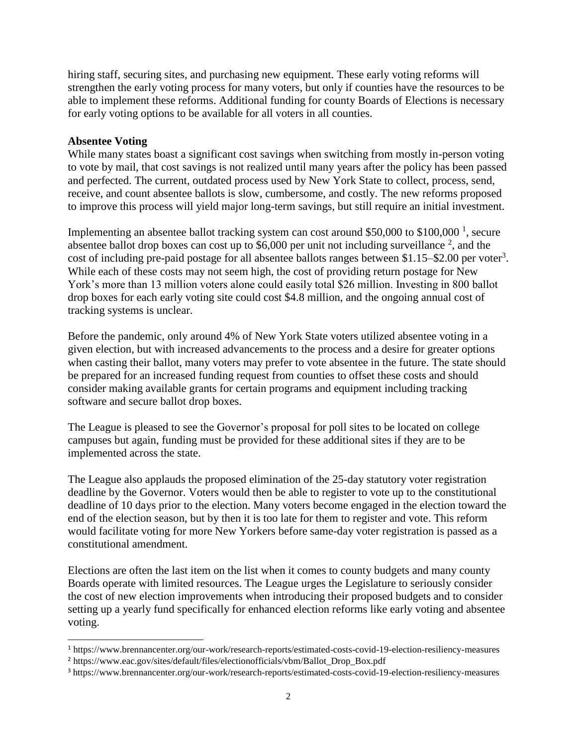hiring staff, securing sites, and purchasing new equipment. These early voting reforms will strengthen the early voting process for many voters, but only if counties have the resources to be able to implement these reforms. Additional funding for county Boards of Elections is necessary for early voting options to be available for all voters in all counties.

#### **Absentee Voting**

 $\overline{a}$ 

While many states boast a significant cost savings when switching from mostly in-person voting to vote by mail, that cost savings is not realized until many years after the policy has been passed and perfected. The current, outdated process used by New York State to collect, process, send, receive, and count absentee ballots is slow, cumbersome, and costly. The new reforms proposed to improve this process will yield major long-term savings, but still require an initial investment.

Implementing an absentee ballot tracking system can cost around \$50,000 to \$100,000<sup>1</sup>, secure absentee ballot drop boxes can cost up to \$6,000 per unit not including surveillance  $2$ , and the cost of including pre-paid postage for all absentee ballots ranges between  $$1.15-$2.00$  per voter<sup>3</sup>. While each of these costs may not seem high, the cost of providing return postage for New York's more than 13 million voters alone could easily total \$26 million. Investing in 800 ballot drop boxes for each early voting site could cost \$4.8 million, and the ongoing annual cost of tracking systems is unclear.

Before the pandemic, only around 4% of New York State voters utilized absentee voting in a given election, but with increased advancements to the process and a desire for greater options when casting their ballot, many voters may prefer to vote absentee in the future. The state should be prepared for an increased funding request from counties to offset these costs and should consider making available grants for certain programs and equipment including tracking software and secure ballot drop boxes.

The League is pleased to see the Governor's proposal for poll sites to be located on college campuses but again, funding must be provided for these additional sites if they are to be implemented across the state.

The League also applauds the proposed elimination of the 25-day statutory voter registration deadline by the Governor. Voters would then be able to register to vote up to the constitutional deadline of 10 days prior to the election. Many voters become engaged in the election toward the end of the election season, but by then it is too late for them to register and vote. This reform would facilitate voting for more New Yorkers before same-day voter registration is passed as a constitutional amendment.

Elections are often the last item on the list when it comes to county budgets and many county Boards operate with limited resources. The League urges the Legislature to seriously consider the cost of new election improvements when introducing their proposed budgets and to consider setting up a yearly fund specifically for enhanced election reforms like early voting and absentee voting.

<sup>1</sup> https://www.brennancenter.org/our-work/research-reports/estimated-costs-covid-19-election-resiliency-measures

<sup>&</sup>lt;sup>2</sup> https://www.eac.gov/sites/default/files/electionofficials/vbm/Ballot\_Drop\_Box.pdf

<sup>3</sup> https://www.brennancenter.org/our-work/research-reports/estimated-costs-covid-19-election-resiliency-measures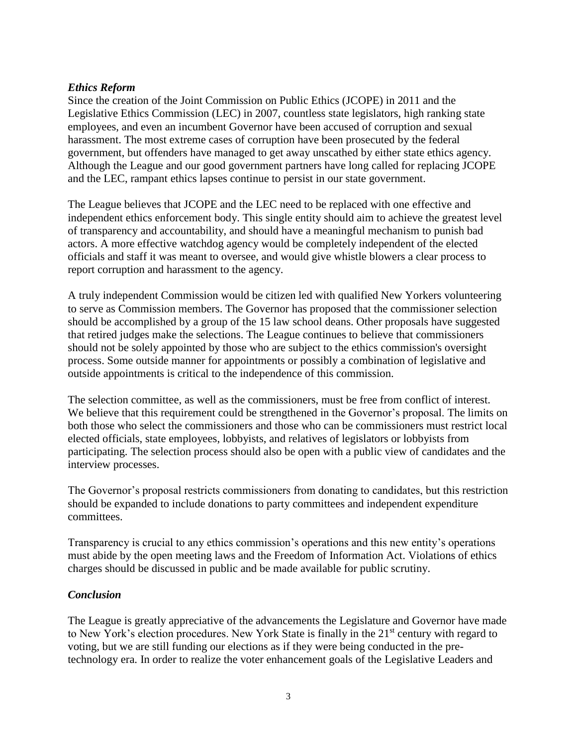#### *Ethics Reform*

Since the creation of the Joint Commission on Public Ethics (JCOPE) in 2011 and the Legislative Ethics Commission (LEC) in 2007, countless state legislators, high ranking state employees, and even an incumbent Governor have been accused of corruption and sexual harassment. The most extreme cases of corruption have been prosecuted by the federal government, but offenders have managed to get away unscathed by either state ethics agency. Although the League and our good government partners have long called for replacing JCOPE and the LEC, rampant ethics lapses continue to persist in our state government.

The League believes that JCOPE and the LEC need to be replaced with one effective and independent ethics enforcement body. This single entity should aim to achieve the greatest level of transparency and accountability, and should have a meaningful mechanism to punish bad actors. A more effective watchdog agency would be completely independent of the elected officials and staff it was meant to oversee, and would give whistle blowers a clear process to report corruption and harassment to the agency.

A truly independent Commission would be citizen led with qualified New Yorkers volunteering to serve as Commission members. The Governor has proposed that the commissioner selection should be accomplished by a group of the 15 law school deans. Other proposals have suggested that retired judges make the selections. The League continues to believe that commissioners should not be solely appointed by those who are subject to the ethics commission's oversight process. Some outside manner for appointments or possibly a combination of legislative and outside appointments is critical to the independence of this commission.

The selection committee, as well as the commissioners, must be free from conflict of interest. We believe that this requirement could be strengthened in the Governor's proposal. The limits on both those who select the commissioners and those who can be commissioners must restrict local elected officials, state employees, lobbyists, and relatives of legislators or lobbyists from participating. The selection process should also be open with a public view of candidates and the interview processes.

The Governor's proposal restricts commissioners from donating to candidates, but this restriction should be expanded to include donations to party committees and independent expenditure committees.

Transparency is crucial to any ethics commission's operations and this new entity's operations must abide by the open meeting laws and the Freedom of Information Act. Violations of ethics charges should be discussed in public and be made available for public scrutiny.

#### *Conclusion*

The League is greatly appreciative of the advancements the Legislature and Governor have made to New York's election procedures. New York State is finally in the 21<sup>st</sup> century with regard to voting, but we are still funding our elections as if they were being conducted in the pretechnology era. In order to realize the voter enhancement goals of the Legislative Leaders and